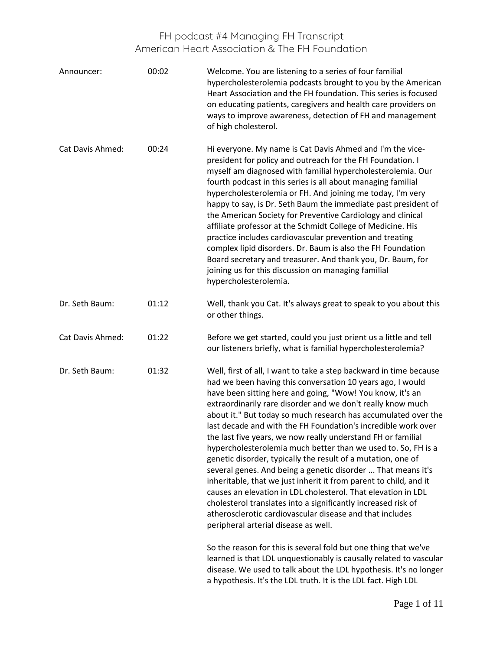| Announcer:              | 00:02 | Welcome. You are listening to a series of four familial<br>hypercholesterolemia podcasts brought to you by the American<br>Heart Association and the FH foundation. This series is focused<br>on educating patients, caregivers and health care providers on<br>ways to improve awareness, detection of FH and management<br>of high cholesterol.                                                                                                                                                                                                                                                                                                                                                                                                                                                                                                                                                                                                                           |
|-------------------------|-------|-----------------------------------------------------------------------------------------------------------------------------------------------------------------------------------------------------------------------------------------------------------------------------------------------------------------------------------------------------------------------------------------------------------------------------------------------------------------------------------------------------------------------------------------------------------------------------------------------------------------------------------------------------------------------------------------------------------------------------------------------------------------------------------------------------------------------------------------------------------------------------------------------------------------------------------------------------------------------------|
| <b>Cat Davis Ahmed:</b> | 00:24 | Hi everyone. My name is Cat Davis Ahmed and I'm the vice-<br>president for policy and outreach for the FH Foundation. I<br>myself am diagnosed with familial hypercholesterolemia. Our<br>fourth podcast in this series is all about managing familial<br>hypercholesterolemia or FH. And joining me today, I'm very<br>happy to say, is Dr. Seth Baum the immediate past president of<br>the American Society for Preventive Cardiology and clinical<br>affiliate professor at the Schmidt College of Medicine. His<br>practice includes cardiovascular prevention and treating<br>complex lipid disorders. Dr. Baum is also the FH Foundation<br>Board secretary and treasurer. And thank you, Dr. Baum, for<br>joining us for this discussion on managing familial<br>hypercholesterolemia.                                                                                                                                                                              |
| Dr. Seth Baum:          | 01:12 | Well, thank you Cat. It's always great to speak to you about this<br>or other things.                                                                                                                                                                                                                                                                                                                                                                                                                                                                                                                                                                                                                                                                                                                                                                                                                                                                                       |
| <b>Cat Davis Ahmed:</b> | 01:22 | Before we get started, could you just orient us a little and tell<br>our listeners briefly, what is familial hypercholesterolemia?                                                                                                                                                                                                                                                                                                                                                                                                                                                                                                                                                                                                                                                                                                                                                                                                                                          |
| Dr. Seth Baum:          | 01:32 | Well, first of all, I want to take a step backward in time because<br>had we been having this conversation 10 years ago, I would<br>have been sitting here and going, "Wow! You know, it's an<br>extraordinarily rare disorder and we don't really know much<br>about it." But today so much research has accumulated over the<br>last decade and with the FH Foundation's incredible work over<br>the last five years, we now really understand FH or familial<br>hypercholesterolemia much better than we used to. So, FH is a<br>genetic disorder, typically the result of a mutation, one of<br>several genes. And being a genetic disorder  That means it's<br>inheritable, that we just inherit it from parent to child, and it<br>causes an elevation in LDL cholesterol. That elevation in LDL<br>cholesterol translates into a significantly increased risk of<br>atherosclerotic cardiovascular disease and that includes<br>peripheral arterial disease as well. |
|                         |       | So the reason for this is several fold but one thing that we've<br>learned is that LDL unquestionably is causally related to vascular<br>disease. We used to talk about the LDL hypothesis. It's no longer<br>a hypothesis. It's the LDL truth. It is the LDL fact. High LDL                                                                                                                                                                                                                                                                                                                                                                                                                                                                                                                                                                                                                                                                                                |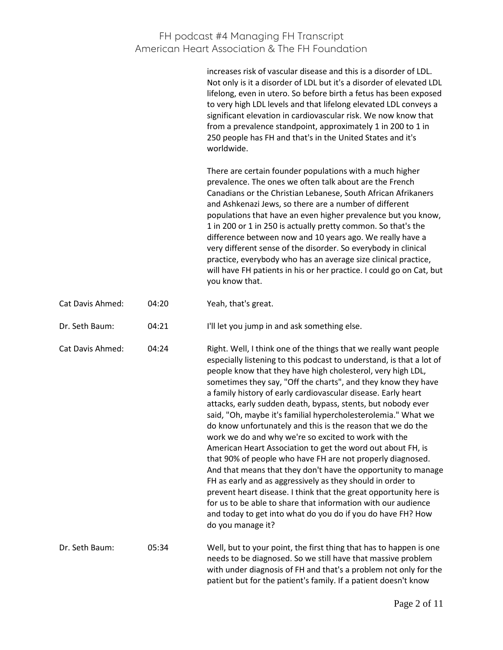|                         |       | increases risk of vascular disease and this is a disorder of LDL.<br>Not only is it a disorder of LDL but it's a disorder of elevated LDL<br>lifelong, even in utero. So before birth a fetus has been exposed<br>to very high LDL levels and that lifelong elevated LDL conveys a<br>significant elevation in cardiovascular risk. We now know that<br>from a prevalence standpoint, approximately 1 in 200 to 1 in<br>250 people has FH and that's in the United States and it's<br>worldwide.                                                                                                                                                                                                                                                                                                                                                                                                                                                                                                                                                                                         |
|-------------------------|-------|------------------------------------------------------------------------------------------------------------------------------------------------------------------------------------------------------------------------------------------------------------------------------------------------------------------------------------------------------------------------------------------------------------------------------------------------------------------------------------------------------------------------------------------------------------------------------------------------------------------------------------------------------------------------------------------------------------------------------------------------------------------------------------------------------------------------------------------------------------------------------------------------------------------------------------------------------------------------------------------------------------------------------------------------------------------------------------------|
|                         |       | There are certain founder populations with a much higher<br>prevalence. The ones we often talk about are the French<br>Canadians or the Christian Lebanese, South African Afrikaners<br>and Ashkenazi Jews, so there are a number of different<br>populations that have an even higher prevalence but you know,<br>1 in 200 or 1 in 250 is actually pretty common. So that's the<br>difference between now and 10 years ago. We really have a<br>very different sense of the disorder. So everybody in clinical<br>practice, everybody who has an average size clinical practice,<br>will have FH patients in his or her practice. I could go on Cat, but<br>you know that.                                                                                                                                                                                                                                                                                                                                                                                                              |
| <b>Cat Davis Ahmed:</b> | 04:20 | Yeah, that's great.                                                                                                                                                                                                                                                                                                                                                                                                                                                                                                                                                                                                                                                                                                                                                                                                                                                                                                                                                                                                                                                                      |
| Dr. Seth Baum:          | 04:21 | I'll let you jump in and ask something else.                                                                                                                                                                                                                                                                                                                                                                                                                                                                                                                                                                                                                                                                                                                                                                                                                                                                                                                                                                                                                                             |
| <b>Cat Davis Ahmed:</b> | 04:24 | Right. Well, I think one of the things that we really want people<br>especially listening to this podcast to understand, is that a lot of<br>people know that they have high cholesterol, very high LDL,<br>sometimes they say, "Off the charts", and they know they have<br>a family history of early cardiovascular disease. Early heart<br>attacks, early sudden death, bypass, stents, but nobody ever<br>said, "Oh, maybe it's familial hypercholesterolemia." What we<br>do know unfortunately and this is the reason that we do the<br>work we do and why we're so excited to work with the<br>American Heart Association to get the word out about FH, is<br>that 90% of people who have FH are not properly diagnosed.<br>And that means that they don't have the opportunity to manage<br>FH as early and as aggressively as they should in order to<br>prevent heart disease. I think that the great opportunity here is<br>for us to be able to share that information with our audience<br>and today to get into what do you do if you do have FH? How<br>do you manage it? |
| Dr. Seth Baum:          | 05:34 | Well, but to your point, the first thing that has to happen is one<br>needs to be diagnosed. So we still have that massive problem<br>with under diagnosis of FH and that's a problem not only for the<br>patient but for the patient's family. If a patient doesn't know                                                                                                                                                                                                                                                                                                                                                                                                                                                                                                                                                                                                                                                                                                                                                                                                                |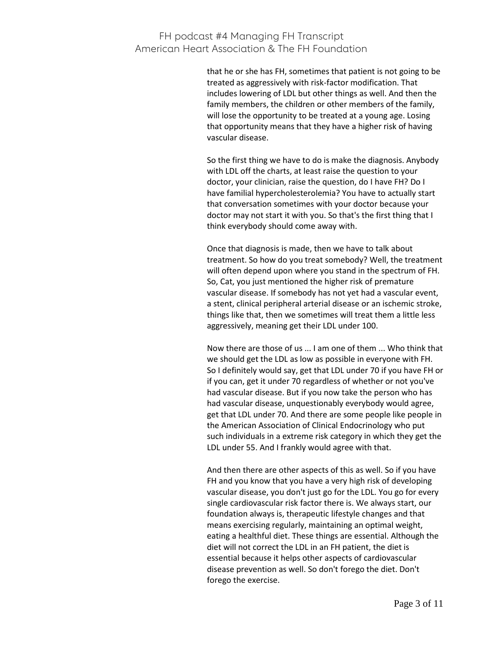that he or she has FH, sometimes that patient is not going to be treated as aggressively with risk-factor modification. That includes lowering of LDL but other things as well. And then the family members, the children or other members of the family, will lose the opportunity to be treated at a young age. Losing that opportunity means that they have a higher risk of having vascular disease.

So the first thing we have to do is make the diagnosis. Anybody with LDL off the charts, at least raise the question to your doctor, your clinician, raise the question, do I have FH? Do I have familial hypercholesterolemia? You have to actually start that conversation sometimes with your doctor because your doctor may not start it with you. So that's the first thing that I think everybody should come away with.

Once that diagnosis is made, then we have to talk about treatment. So how do you treat somebody? Well, the treatment will often depend upon where you stand in the spectrum of FH. So, Cat, you just mentioned the higher risk of premature vascular disease. If somebody has not yet had a vascular event, a stent, clinical peripheral arterial disease or an ischemic stroke, things like that, then we sometimes will treat them a little less aggressively, meaning get their LDL under 100.

Now there are those of us ... I am one of them ... Who think that we should get the LDL as low as possible in everyone with FH. So I definitely would say, get that LDL under 70 if you have FH or if you can, get it under 70 regardless of whether or not you've had vascular disease. But if you now take the person who has had vascular disease, unquestionably everybody would agree, get that LDL under 70. And there are some people like people in the American Association of Clinical Endocrinology who put such individuals in a extreme risk category in which they get the LDL under 55. And I frankly would agree with that.

And then there are other aspects of this as well. So if you have FH and you know that you have a very high risk of developing vascular disease, you don't just go for the LDL. You go for every single cardiovascular risk factor there is. We always start, our foundation always is, therapeutic lifestyle changes and that means exercising regularly, maintaining an optimal weight, eating a healthful diet. These things are essential. Although the diet will not correct the LDL in an FH patient, the diet is essential because it helps other aspects of cardiovascular disease prevention as well. So don't forego the diet. Don't forego the exercise.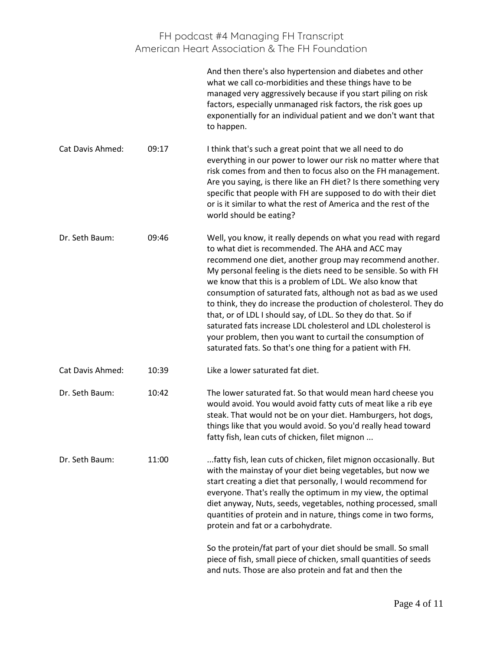|                         |       | And then there's also hypertension and diabetes and other<br>what we call co-morbidities and these things have to be<br>managed very aggressively because if you start piling on risk<br>factors, especially unmanaged risk factors, the risk goes up<br>exponentially for an individual patient and we don't want that<br>to happen.                                                                                                                                                                                                                                                                                                                                                                             |
|-------------------------|-------|-------------------------------------------------------------------------------------------------------------------------------------------------------------------------------------------------------------------------------------------------------------------------------------------------------------------------------------------------------------------------------------------------------------------------------------------------------------------------------------------------------------------------------------------------------------------------------------------------------------------------------------------------------------------------------------------------------------------|
| <b>Cat Davis Ahmed:</b> | 09:17 | I think that's such a great point that we all need to do<br>everything in our power to lower our risk no matter where that<br>risk comes from and then to focus also on the FH management.<br>Are you saying, is there like an FH diet? Is there something very<br>specific that people with FH are supposed to do with their diet<br>or is it similar to what the rest of America and the rest of the<br>world should be eating?                                                                                                                                                                                                                                                                                 |
| Dr. Seth Baum:          | 09:46 | Well, you know, it really depends on what you read with regard<br>to what diet is recommended. The AHA and ACC may<br>recommend one diet, another group may recommend another.<br>My personal feeling is the diets need to be sensible. So with FH<br>we know that this is a problem of LDL. We also know that<br>consumption of saturated fats, although not as bad as we used<br>to think, they do increase the production of cholesterol. They do<br>that, or of LDL I should say, of LDL. So they do that. So if<br>saturated fats increase LDL cholesterol and LDL cholesterol is<br>your problem, then you want to curtail the consumption of<br>saturated fats. So that's one thing for a patient with FH. |
| <b>Cat Davis Ahmed:</b> | 10:39 | Like a lower saturated fat diet.                                                                                                                                                                                                                                                                                                                                                                                                                                                                                                                                                                                                                                                                                  |
| Dr. Seth Baum:          | 10:42 | The lower saturated fat. So that would mean hard cheese you<br>would avoid. You would avoid fatty cuts of meat like a rib eye<br>steak. That would not be on your diet. Hamburgers, hot dogs,<br>things like that you would avoid. So you'd really head toward<br>fatty fish, lean cuts of chicken, filet mignon                                                                                                                                                                                                                                                                                                                                                                                                  |
| Dr. Seth Baum:          | 11:00 | fatty fish, lean cuts of chicken, filet mignon occasionally. But<br>with the mainstay of your diet being vegetables, but now we<br>start creating a diet that personally, I would recommend for<br>everyone. That's really the optimum in my view, the optimal<br>diet anyway, Nuts, seeds, vegetables, nothing processed, small<br>quantities of protein and in nature, things come in two forms,<br>protein and fat or a carbohydrate.                                                                                                                                                                                                                                                                          |
|                         |       | So the protein/fat part of your diet should be small. So small<br>piece of fish, small piece of chicken, small quantities of seeds<br>and nuts. Those are also protein and fat and then the                                                                                                                                                                                                                                                                                                                                                                                                                                                                                                                       |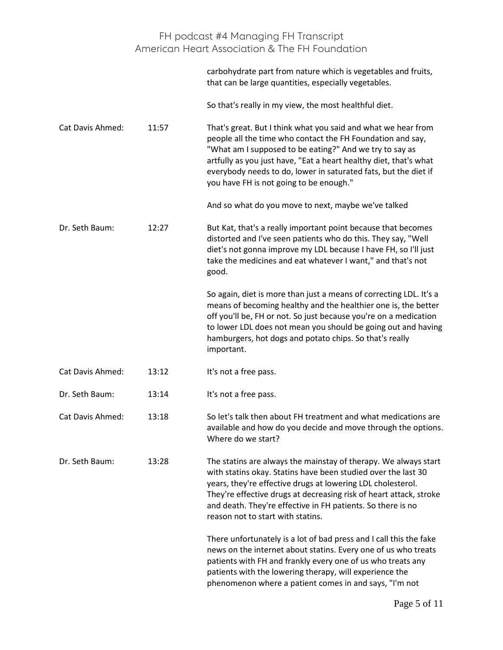|                         |       | FH podcast #4 Managing FH Transcript<br>American Heart Association & The FH Foundation                                                                                                                                                                                                                                                                                    |
|-------------------------|-------|---------------------------------------------------------------------------------------------------------------------------------------------------------------------------------------------------------------------------------------------------------------------------------------------------------------------------------------------------------------------------|
|                         |       | carbohydrate part from nature which is vegetables and fruits,<br>that can be large quantities, especially vegetables.                                                                                                                                                                                                                                                     |
|                         |       | So that's really in my view, the most healthful diet.                                                                                                                                                                                                                                                                                                                     |
| Cat Davis Ahmed:        | 11:57 | That's great. But I think what you said and what we hear from<br>people all the time who contact the FH Foundation and say,<br>"What am I supposed to be eating?" And we try to say as<br>artfully as you just have, "Eat a heart healthy diet, that's what<br>everybody needs to do, lower in saturated fats, but the diet if<br>you have FH is not going to be enough." |
|                         |       | And so what do you move to next, maybe we've talked                                                                                                                                                                                                                                                                                                                       |
| Dr. Seth Baum:          | 12:27 | But Kat, that's a really important point because that becomes<br>distorted and I've seen patients who do this. They say, "Well<br>diet's not gonna improve my LDL because I have FH, so I'll just<br>take the medicines and eat whatever I want," and that's not<br>good.                                                                                                 |
|                         |       | So again, diet is more than just a means of correcting LDL. It's a<br>means of becoming healthy and the healthier one is, the better<br>off you'll be, FH or not. So just because you're on a medication<br>to lower LDL does not mean you should be going out and having<br>hamburgers, hot dogs and potato chips. So that's really<br>important.                        |
| <b>Cat Davis Ahmed:</b> | 13:12 | It's not a free pass.                                                                                                                                                                                                                                                                                                                                                     |
| Dr. Seth Baum:          | 13:14 | It's not a free pass.                                                                                                                                                                                                                                                                                                                                                     |
| <b>Cat Davis Ahmed:</b> | 13:18 | So let's talk then about FH treatment and what medications are<br>available and how do you decide and move through the options.<br>Where do we start?                                                                                                                                                                                                                     |
| Dr. Seth Baum:          | 13:28 | The statins are always the mainstay of therapy. We always start<br>with statins okay. Statins have been studied over the last 30<br>years, they're effective drugs at lowering LDL cholesterol.<br>They're effective drugs at decreasing risk of heart attack, stroke<br>and death. They're effective in FH patients. So there is no<br>reason not to start with statins. |
|                         |       | There unfortunately is a lot of bad press and I call this the fake<br>news on the internet about statins. Every one of us who treats<br>patients with FH and frankly every one of us who treats any<br>patients with the lowering therapy, will experience the<br>phenomenon where a patient comes in and says, "I'm not                                                  |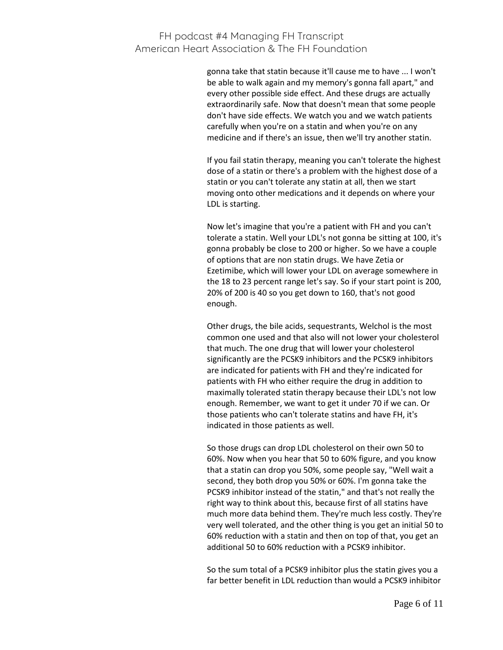gonna take that statin because it'll cause me to have ... I won't be able to walk again and my memory's gonna fall apart," and every other possible side effect. And these drugs are actually extraordinarily safe. Now that doesn't mean that some people don't have side effects. We watch you and we watch patients carefully when you're on a statin and when you're on any medicine and if there's an issue, then we'll try another statin.

If you fail statin therapy, meaning you can't tolerate the highest dose of a statin or there's a problem with the highest dose of a statin or you can't tolerate any statin at all, then we start moving onto other medications and it depends on where your LDL is starting.

Now let's imagine that you're a patient with FH and you can't tolerate a statin. Well your LDL's not gonna be sitting at 100, it's gonna probably be close to 200 or higher. So we have a couple of options that are non statin drugs. We have Zetia or Ezetimibe, which will lower your LDL on average somewhere in the 18 to 23 percent range let's say. So if your start point is 200, 20% of 200 is 40 so you get down to 160, that's not good enough.

Other drugs, the bile acids, sequestrants, Welchol is the most common one used and that also will not lower your cholesterol that much. The one drug that will lower your cholesterol significantly are the PCSK9 inhibitors and the PCSK9 inhibitors are indicated for patients with FH and they're indicated for patients with FH who either require the drug in addition to maximally tolerated statin therapy because their LDL's not low enough. Remember, we want to get it under 70 if we can. Or those patients who can't tolerate statins and have FH, it's indicated in those patients as well.

So those drugs can drop LDL cholesterol on their own 50 to 60%. Now when you hear that 50 to 60% figure, and you know that a statin can drop you 50%, some people say, "Well wait a second, they both drop you 50% or 60%. I'm gonna take the PCSK9 inhibitor instead of the statin," and that's not really the right way to think about this, because first of all statins have much more data behind them. They're much less costly. They're very well tolerated, and the other thing is you get an initial 50 to 60% reduction with a statin and then on top of that, you get an additional 50 to 60% reduction with a PCSK9 inhibitor.

So the sum total of a PCSK9 inhibitor plus the statin gives you a far better benefit in LDL reduction than would a PCSK9 inhibitor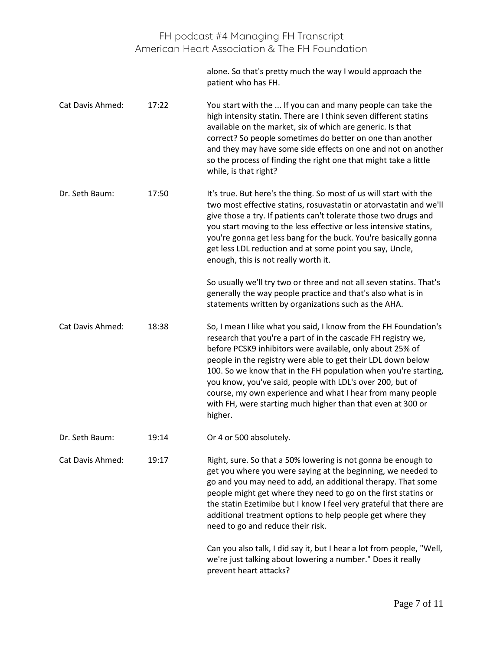alone. So that's pretty much the way I would approach the patient who has FH.

Cat Davis Ahmed: 17:22 You start with the ... If you can and many people can take the high intensity statin. There are I think seven different statins available on the market, six of which are generic. Is that correct? So people sometimes do better on one than another and they may have some side effects on one and not on another so the process of finding the right one that might take a little while, is that right?

Dr. Seth Baum: 17:50 It's true. But here's the thing. So most of us will start with the two most effective statins, rosuvastatin or atorvastatin and we'll give those a try. If patients can't tolerate those two drugs and you start moving to the less effective or less intensive statins, you're gonna get less bang for the buck. You're basically gonna get less LDL reduction and at some point you say, Uncle, enough, this is not really worth it.

> So usually we'll try two or three and not all seven statins. That's generally the way people practice and that's also what is in statements written by organizations such as the AHA.

- Cat Davis Ahmed: 18:38 So, I mean I like what you said, I know from the FH Foundation's research that you're a part of in the cascade FH registry we, before PCSK9 inhibitors were available, only about 25% of people in the registry were able to get their LDL down below 100. So we know that in the FH population when you're starting, you know, you've said, people with LDL's over 200, but of course, my own experience and what I hear from many people with FH, were starting much higher than that even at 300 or higher.
- Dr. Seth Baum: 19:14 Or 4 or 500 absolutely.

Cat Davis Ahmed: 19:17 Right, sure. So that a 50% lowering is not gonna be enough to get you where you were saying at the beginning, we needed to go and you may need to add, an additional therapy. That some people might get where they need to go on the first statins or the statin Ezetimibe but I know I feel very grateful that there are additional treatment options to help people get where they need to go and reduce their risk.

> Can you also talk, I did say it, but I hear a lot from people, "Well, we're just talking about lowering a number." Does it really prevent heart attacks?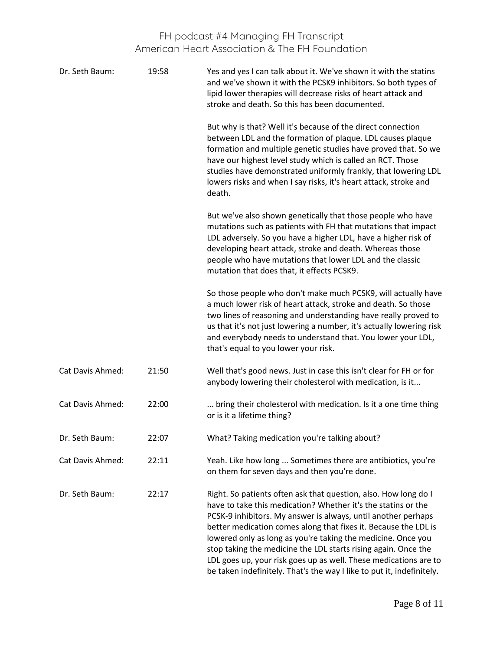| Dr. Seth Baum:   | 19:58 | Yes and yes I can talk about it. We've shown it with the statins<br>and we've shown it with the PCSK9 inhibitors. So both types of<br>lipid lower therapies will decrease risks of heart attack and<br>stroke and death. So this has been documented.                                                                                                                                                                                                                                                                                               |
|------------------|-------|-----------------------------------------------------------------------------------------------------------------------------------------------------------------------------------------------------------------------------------------------------------------------------------------------------------------------------------------------------------------------------------------------------------------------------------------------------------------------------------------------------------------------------------------------------|
|                  |       | But why is that? Well it's because of the direct connection<br>between LDL and the formation of plaque. LDL causes plaque<br>formation and multiple genetic studies have proved that. So we<br>have our highest level study which is called an RCT. Those<br>studies have demonstrated uniformly frankly, that lowering LDL<br>lowers risks and when I say risks, it's heart attack, stroke and<br>death.                                                                                                                                           |
|                  |       | But we've also shown genetically that those people who have<br>mutations such as patients with FH that mutations that impact<br>LDL adversely. So you have a higher LDL, have a higher risk of<br>developing heart attack, stroke and death. Whereas those<br>people who have mutations that lower LDL and the classic<br>mutation that does that, it effects PCSK9.                                                                                                                                                                                |
|                  |       | So those people who don't make much PCSK9, will actually have<br>a much lower risk of heart attack, stroke and death. So those<br>two lines of reasoning and understanding have really proved to<br>us that it's not just lowering a number, it's actually lowering risk<br>and everybody needs to understand that. You lower your LDL,<br>that's equal to you lower your risk.                                                                                                                                                                     |
| Cat Davis Ahmed: | 21:50 | Well that's good news. Just in case this isn't clear for FH or for<br>anybody lowering their cholesterol with medication, is it                                                                                                                                                                                                                                                                                                                                                                                                                     |
| Cat Davis Ahmed: | 22:00 | bring their cholesterol with medication. Is it a one time thing<br>or is it a lifetime thing?                                                                                                                                                                                                                                                                                                                                                                                                                                                       |
| Dr. Seth Baum:   | 22:07 | What? Taking medication you're talking about?                                                                                                                                                                                                                                                                                                                                                                                                                                                                                                       |
| Cat Davis Ahmed: | 22:11 | Yeah. Like how long  Sometimes there are antibiotics, you're<br>on them for seven days and then you're done.                                                                                                                                                                                                                                                                                                                                                                                                                                        |
| Dr. Seth Baum:   | 22:17 | Right. So patients often ask that question, also. How long do I<br>have to take this medication? Whether it's the statins or the<br>PCSK-9 inhibitors. My answer is always, until another perhaps<br>better medication comes along that fixes it. Because the LDL is<br>lowered only as long as you're taking the medicine. Once you<br>stop taking the medicine the LDL starts rising again. Once the<br>LDL goes up, your risk goes up as well. These medications are to<br>be taken indefinitely. That's the way I like to put it, indefinitely. |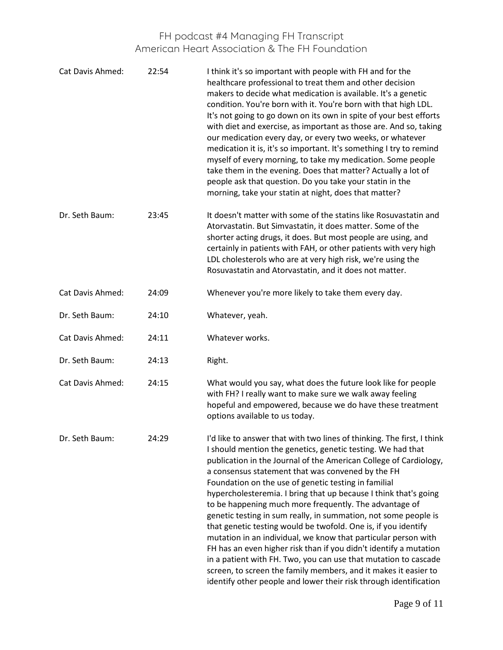| Cat Davis Ahmed: | 22:54 | I think it's so important with people with FH and for the<br>healthcare professional to treat them and other decision<br>makers to decide what medication is available. It's a genetic<br>condition. You're born with it. You're born with that high LDL.<br>It's not going to go down on its own in spite of your best efforts<br>with diet and exercise, as important as those are. And so, taking<br>our medication every day, or every two weeks, or whatever<br>medication it is, it's so important. It's something I try to remind<br>myself of every morning, to take my medication. Some people<br>take them in the evening. Does that matter? Actually a lot of<br>people ask that question. Do you take your statin in the<br>morning, take your statin at night, does that matter?                                                                                                                                                |
|------------------|-------|----------------------------------------------------------------------------------------------------------------------------------------------------------------------------------------------------------------------------------------------------------------------------------------------------------------------------------------------------------------------------------------------------------------------------------------------------------------------------------------------------------------------------------------------------------------------------------------------------------------------------------------------------------------------------------------------------------------------------------------------------------------------------------------------------------------------------------------------------------------------------------------------------------------------------------------------|
| Dr. Seth Baum:   | 23:45 | It doesn't matter with some of the statins like Rosuvastatin and<br>Atorvastatin. But Simvastatin, it does matter. Some of the<br>shorter acting drugs, it does. But most people are using, and<br>certainly in patients with FAH, or other patients with very high<br>LDL cholesterols who are at very high risk, we're using the<br>Rosuvastatin and Atorvastatin, and it does not matter.                                                                                                                                                                                                                                                                                                                                                                                                                                                                                                                                                 |
| Cat Davis Ahmed: | 24:09 | Whenever you're more likely to take them every day.                                                                                                                                                                                                                                                                                                                                                                                                                                                                                                                                                                                                                                                                                                                                                                                                                                                                                          |
| Dr. Seth Baum:   | 24:10 | Whatever, yeah.                                                                                                                                                                                                                                                                                                                                                                                                                                                                                                                                                                                                                                                                                                                                                                                                                                                                                                                              |
| Cat Davis Ahmed: | 24:11 | Whatever works.                                                                                                                                                                                                                                                                                                                                                                                                                                                                                                                                                                                                                                                                                                                                                                                                                                                                                                                              |
| Dr. Seth Baum:   | 24:13 | Right.                                                                                                                                                                                                                                                                                                                                                                                                                                                                                                                                                                                                                                                                                                                                                                                                                                                                                                                                       |
| Cat Davis Ahmed: | 24:15 | What would you say, what does the future look like for people<br>with FH? I really want to make sure we walk away feeling<br>hopeful and empowered, because we do have these treatment<br>options available to us today.                                                                                                                                                                                                                                                                                                                                                                                                                                                                                                                                                                                                                                                                                                                     |
| Dr. Seth Baum:   | 24:29 | I'd like to answer that with two lines of thinking. The first, I think<br>I should mention the genetics, genetic testing. We had that<br>publication in the Journal of the American College of Cardiology,<br>a consensus statement that was convened by the FH<br>Foundation on the use of genetic testing in familial<br>hypercholesteremia. I bring that up because I think that's going<br>to be happening much more frequently. The advantage of<br>genetic testing in sum really, in summation, not some people is<br>that genetic testing would be twofold. One is, if you identify<br>mutation in an individual, we know that particular person with<br>FH has an even higher risk than if you didn't identify a mutation<br>in a patient with FH. Two, you can use that mutation to cascade<br>screen, to screen the family members, and it makes it easier to<br>identify other people and lower their risk through identification |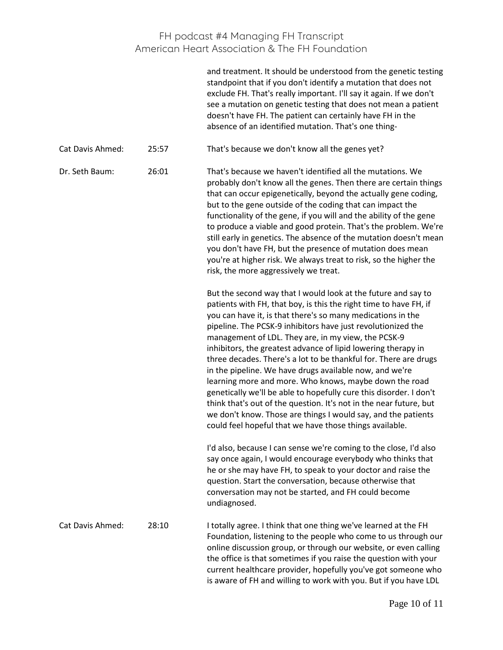|                  |       | and treatment. It should be understood from the genetic testing<br>standpoint that if you don't identify a mutation that does not<br>exclude FH. That's really important. I'll say it again. If we don't<br>see a mutation on genetic testing that does not mean a patient<br>doesn't have FH. The patient can certainly have FH in the<br>absence of an identified mutation. That's one thing-                                                                                                                                                                                                                                                                                                                                                                                                                                                            |
|------------------|-------|------------------------------------------------------------------------------------------------------------------------------------------------------------------------------------------------------------------------------------------------------------------------------------------------------------------------------------------------------------------------------------------------------------------------------------------------------------------------------------------------------------------------------------------------------------------------------------------------------------------------------------------------------------------------------------------------------------------------------------------------------------------------------------------------------------------------------------------------------------|
| Cat Davis Ahmed: | 25:57 | That's because we don't know all the genes yet?                                                                                                                                                                                                                                                                                                                                                                                                                                                                                                                                                                                                                                                                                                                                                                                                            |
| Dr. Seth Baum:   | 26:01 | That's because we haven't identified all the mutations. We<br>probably don't know all the genes. Then there are certain things<br>that can occur epigenetically, beyond the actually gene coding,<br>but to the gene outside of the coding that can impact the<br>functionality of the gene, if you will and the ability of the gene<br>to produce a viable and good protein. That's the problem. We're<br>still early in genetics. The absence of the mutation doesn't mean<br>you don't have FH, but the presence of mutation does mean<br>you're at higher risk. We always treat to risk, so the higher the<br>risk, the more aggressively we treat.                                                                                                                                                                                                    |
|                  |       | But the second way that I would look at the future and say to<br>patients with FH, that boy, is this the right time to have FH, if<br>you can have it, is that there's so many medications in the<br>pipeline. The PCSK-9 inhibitors have just revolutionized the<br>management of LDL. They are, in my view, the PCSK-9<br>inhibitors, the greatest advance of lipid lowering therapy in<br>three decades. There's a lot to be thankful for. There are drugs<br>in the pipeline. We have drugs available now, and we're<br>learning more and more. Who knows, maybe down the road<br>genetically we'll be able to hopefully cure this disorder. I don't<br>think that's out of the question. It's not in the near future, but<br>we don't know. Those are things I would say, and the patients<br>could feel hopeful that we have those things available. |
|                  |       | I'd also, because I can sense we're coming to the close, I'd also<br>say once again, I would encourage everybody who thinks that<br>he or she may have FH, to speak to your doctor and raise the<br>question. Start the conversation, because otherwise that<br>conversation may not be started, and FH could become<br>undiagnosed.                                                                                                                                                                                                                                                                                                                                                                                                                                                                                                                       |
| Cat Davis Ahmed: | 28:10 | I totally agree. I think that one thing we've learned at the FH<br>Foundation, listening to the people who come to us through our<br>online discussion group, or through our website, or even calling<br>the office is that sometimes if you raise the question with your<br>current healthcare provider, hopefully you've got someone who<br>is aware of FH and willing to work with you. But if you have LDL                                                                                                                                                                                                                                                                                                                                                                                                                                             |